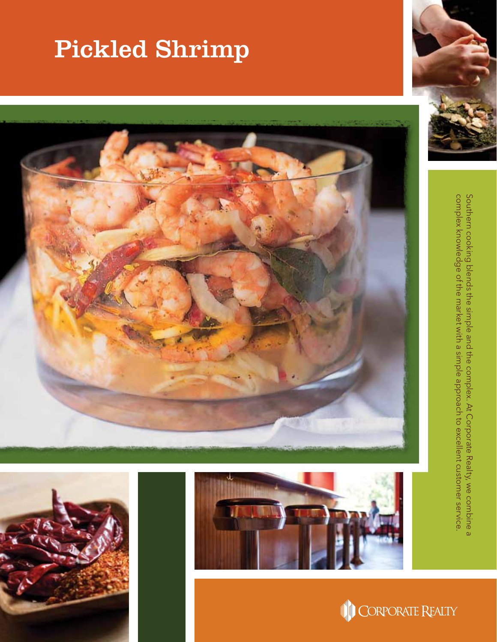## Pickled Shrimp









complex knowledge of the market with a simple approach to excellent customer service. Southern cooking blends the simple and the complex. At Corporate Realty, we combine a complex knowledge of the market with a simple approach to excellent customer service. Southern cooking blends the simple and the complex. At Corporate Realty, we combine a